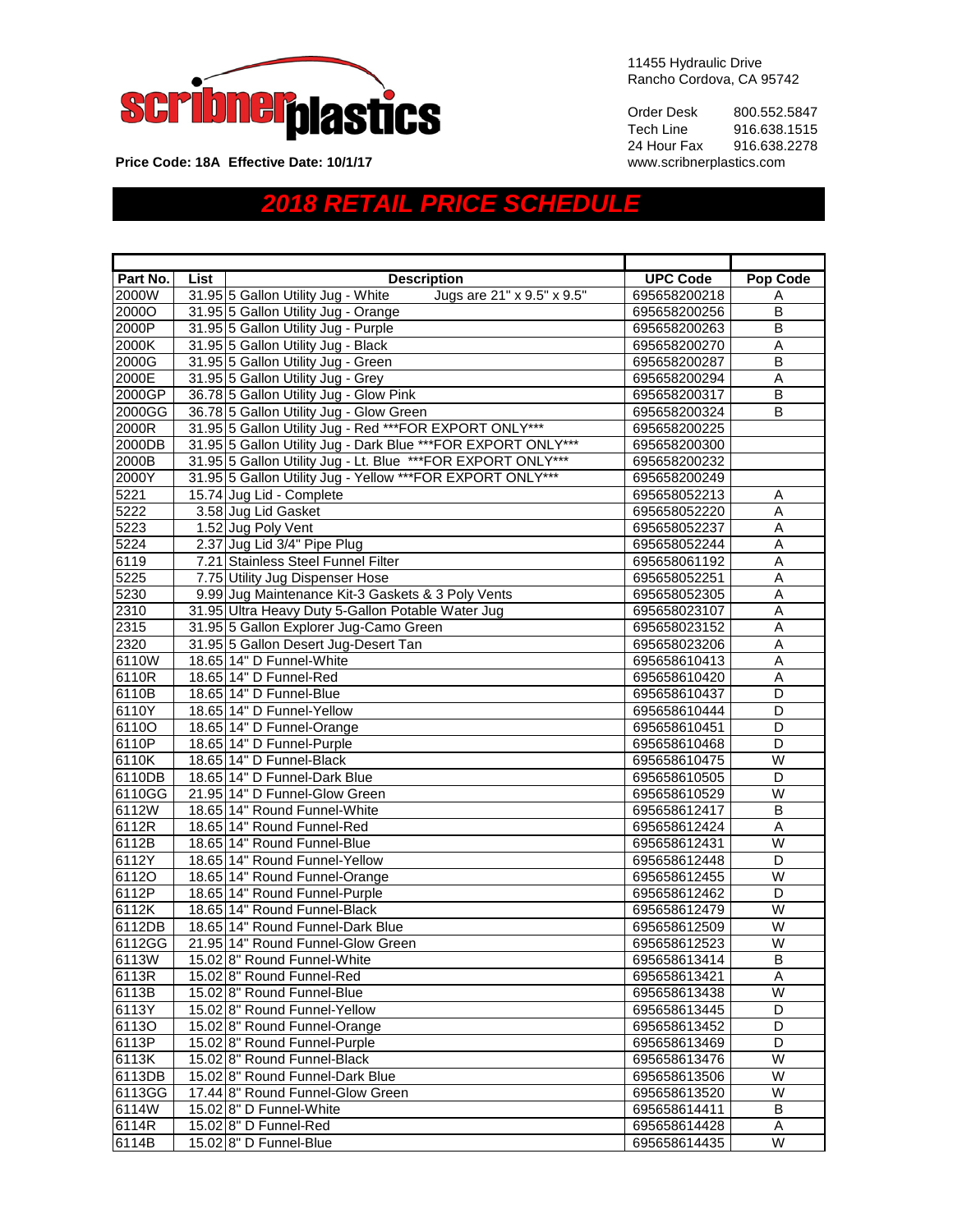

11455 Hydraulic Drive Rancho Cordova, CA 95742

Order Desk 800.552.5847<br>Tech Line 916.638.1515 916.638.1515<br>916.638.2278 24 Hour Fax 916.638.2<br>www.scribnerplastics.com

**Price Code: 18A Effective Date: 10/1/17** 

## *2018 RETAIL PRICE SCHEDULE*

| Part No. | List | <b>Description</b>                                               | <b>UPC Code</b> | <b>Pop Code</b>         |
|----------|------|------------------------------------------------------------------|-----------------|-------------------------|
| 2000W    |      | 31.95 5 Gallon Utility Jug - White<br>Jugs are 21" x 9.5" x 9.5" | 695658200218    | Α                       |
| 2000O    |      | 31.95 5 Gallon Utility Jug - Orange                              | 695658200256    | B                       |
| 2000P    |      | 31.95 5 Gallon Utility Jug - Purple                              | 695658200263    | B                       |
| 2000K    |      | 31.95 5 Gallon Utility Jug - Black                               | 695658200270    | A                       |
| 2000G    |      | 31.95 5 Gallon Utility Jug - Green                               | 695658200287    | B                       |
| 2000E    |      | 31.95 5 Gallon Utility Jug - Grey                                | 695658200294    | A                       |
| 2000GP   |      | 36.78 5 Gallon Utility Jug - Glow Pink                           | 695658200317    | B                       |
| 2000GG   |      | 36.78 5 Gallon Utility Jug - Glow Green                          | 695658200324    | B                       |
| 2000R    |      | 31.95 5 Gallon Utility Jug - Red *** FOR EXPORT ONLY***          | 695658200225    |                         |
| 2000DB   |      | 31.95 5 Gallon Utility Jug - Dark Blue *** FOR EXPORT ONLY***    | 695658200300    |                         |
| 2000B    |      | 31.95 5 Gallon Utility Jug - Lt. Blue *** FOR EXPORT ONLY***     | 695658200232    |                         |
| 2000Y    |      | 31.95 5 Gallon Utility Jug - Yellow *** FOR EXPORT ONLY***       | 695658200249    |                         |
| 5221     |      | 15.74 Jug Lid - Complete                                         | 695658052213    | Α                       |
| 5222     |      | 3.58 Jug Lid Gasket                                              | 695658052220    | A                       |
| 5223     |      | 1.52 Jug Poly Vent                                               | 695658052237    | Α                       |
| 5224     |      | 2.37 Jug Lid 3/4" Pipe Plug                                      | 695658052244    | $\overline{A}$          |
| 6119     |      | 7.21 Stainless Steel Funnel Filter                               | 695658061192    | A                       |
| 5225     |      | 7.75 Utility Jug Dispenser Hose                                  | 695658052251    | A                       |
| 5230     |      | 9.99 Jug Maintenance Kit-3 Gaskets & 3 Poly Vents                | 695658052305    | Α                       |
| 2310     |      | 31.95 Ultra Heavy Duty 5-Gallon Potable Water Jug                | 695658023107    | A                       |
| 2315     |      | 31.95 5 Gallon Explorer Jug-Camo Green                           | 695658023152    | A                       |
| 2320     |      | 31.95 5 Gallon Desert Jug-Desert Tan                             | 695658023206    | $\overline{A}$          |
| 6110W    |      | 18.65 14" D Funnel-White                                         | 695658610413    | A                       |
| 6110R    |      | 18.65 14" D Funnel-Red                                           | 695658610420    | Α                       |
| 6110B    |      | 18.65 14" D Funnel-Blue                                          | 695658610437    | D                       |
| 6110Y    |      | 18.65 14" D Funnel-Yellow                                        | 695658610444    | $\overline{D}$          |
| 6110O    |      | 18.65 14" D Funnel-Orange                                        | 695658610451    | D                       |
| 6110P    |      | 18.65 14" D Funnel-Purple                                        | 695658610468    | D                       |
| 6110K    |      | 18.65 14" D Funnel-Black                                         | 695658610475    | W                       |
| 6110DB   |      | 18.65 14" D Funnel-Dark Blue                                     | 695658610505    | $\overline{\mathsf{D}}$ |
| 6110GG   |      | 21.95 14" D Funnel-Glow Green                                    | 695658610529    | $\overline{W}$          |
| 6112W    |      | 18.65 14" Round Funnel-White                                     | 695658612417    | B                       |
| 6112R    |      | 18.65 14" Round Funnel-Red                                       | 695658612424    | Α                       |
| 6112B    |      | 18.65 14" Round Funnel-Blue                                      | 695658612431    | W                       |
| 6112Y    |      | 18.65 14" Round Funnel-Yellow                                    | 695658612448    | D                       |
| 61120    |      | 18.65 14" Round Funnel-Orange                                    | 695658612455    | W                       |
| 6112P    |      | 18.65 14" Round Funnel-Purple                                    | 695658612462    | D                       |
| 6112K    |      | 18.65 14" Round Funnel-Black                                     | 695658612479    | W                       |
| 6112DB   |      | 18.65 14" Round Funnel-Dark Blue                                 | 695658612509    | $\overline{W}$          |
| 6112GG   |      | 21.95 14" Round Funnel-Glow Green                                | 695658612523    | W                       |
| 6113W    |      | 15.02 8" Round Funnel-White                                      | 695658613414    | B                       |
| 6113R    |      | 15.02 8" Round Funnel-Red                                        | 695658613421    | Α                       |
| 6113B    |      | 15.02 8" Round Funnel-Blue                                       | 695658613438    | W                       |
| 6113Y    |      | 15.02 8" Round Funnel-Yellow                                     | 695658613445    | D                       |
| 61130    |      | 15.02 8" Round Funnel-Orange                                     | 695658613452    | D                       |
| 6113P    |      | 15.02 8" Round Funnel-Purple                                     | 695658613469    | D                       |
| 6113K    |      | 15.02 8" Round Funnel-Black                                      | 695658613476    | $\overline{\mathsf{W}}$ |
| 6113DB   |      | 15.02 8" Round Funnel-Dark Blue                                  | 695658613506    | W                       |
| 6113GG   |      | 17.44 8" Round Funnel-Glow Green                                 | 695658613520    | W                       |
| 6114W    |      | 15.02 8" D Funnel-White                                          | 695658614411    | В                       |
| 6114R    |      | 15.02 8" D Funnel-Red                                            | 695658614428    | A                       |
| 6114B    |      | 15.02 8" D Funnel-Blue                                           | 695658614435    | W                       |